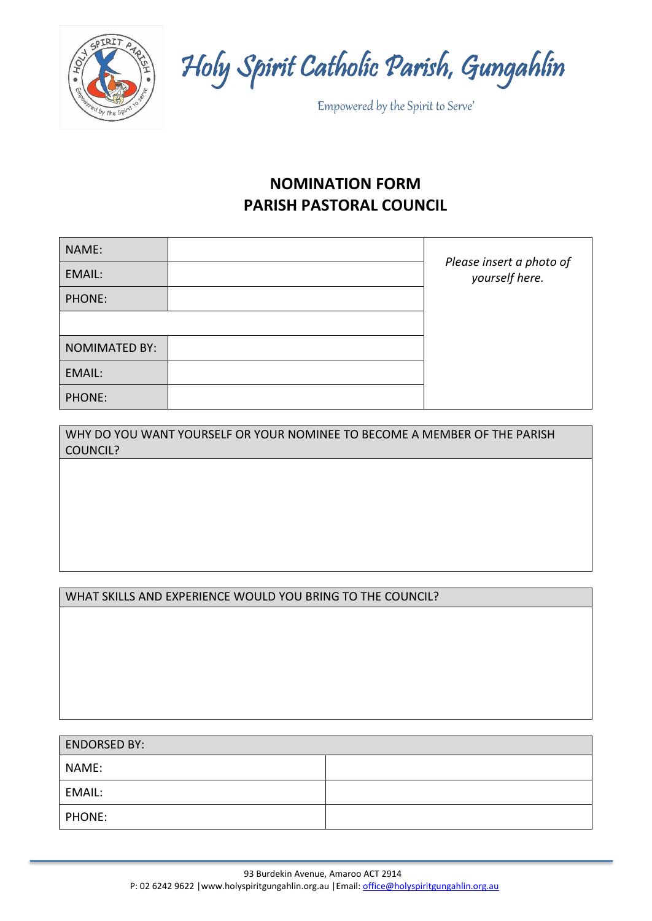

Holy Spirit Catholic Parish, Gungahlin

'Empowered by the Spirit to Serve'

# **NOMINATION FORM PARISH PASTORAL COUNCIL**

| NAME:                |                                            |
|----------------------|--------------------------------------------|
| EMAIL:               | Please insert a photo of<br>yourself here. |
| PHONE:               |                                            |
|                      |                                            |
| <b>NOMIMATED BY:</b> |                                            |
| EMAIL:               |                                            |
| PHONE:               |                                            |

| WHY DO YOU WANT YOURSELF OR YOUR NOMINEE TO BECOME A MEMBER OF THE PARISH |  |
|---------------------------------------------------------------------------|--|
| COUNCIL?                                                                  |  |

### WHAT SKILLS AND EXPERIENCE WOULD YOU BRING TO THE COUNCIL?

| <b>ENDORSED BY:</b> |  |
|---------------------|--|
| NAME:               |  |
| EMAIL:              |  |
| PHONE:              |  |